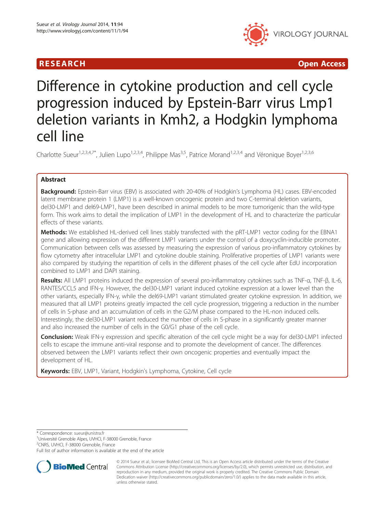

**RESEARCH CHINESE ARCH CHINESE ARCH CHINESE ARCH <b>CHINESE ARCH** 

# Difference in cytokine production and cell cycle progression induced by Epstein-Barr virus Lmp1 deletion variants in Kmh2, a Hodgkin lymphoma cell line

Charlotte Sueur<sup>1,2,3,4,7\*</sup>, Julien Lupo<sup>1,2,3,4</sup>, Philippe Mas<sup>3,5</sup>, Patrice Morand<sup>1,2,3,4</sup> and Véronique Boyer<sup>1,2,3,6</sup>

# Abstract

**Background:** Epstein-Barr virus (EBV) is associated with 20-40% of Hodgkin's Lymphoma (HL) cases. EBV-encoded latent membrane protein 1 (LMP1) is a well-known oncogenic protein and two C-terminal deletion variants, del30-LMP1 and del69-LMP1, have been described in animal models to be more tumorigenic than the wild-type form. This work aims to detail the implication of LMP1 in the development of HL and to characterize the particular effects of these variants.

Methods: We established HL-derived cell lines stably transfected with the pRT-LMP1 vector coding for the EBNA1 gene and allowing expression of the different LMP1 variants under the control of a doxycyclin-inducible promoter. Communication between cells was assessed by measuring the expression of various pro-inflammatory cytokines by flow cytometry after intracellular LMP1 and cytokine double staining. Proliferative properties of LMP1 variants were also compared by studying the repartition of cells in the different phases of the cell cycle after EdU incorporation combined to LMP1 and DAPI staining.

Results: All LMP1 proteins induced the expression of several pro-inflammatory cytokines such as TNF-α, TNF-β, IL-6, RANTES/CCL5 and IFN-γ. However, the del30-LMP1 variant induced cytokine expression at a lower level than the other variants, especially IFN-γ, while the del69-LMP1 variant stimulated greater cytokine expression. In addition, we measured that all LMP1 proteins greatly impacted the cell cycle progression, triggering a reduction in the number of cells in S-phase and an accumulation of cells in the G2/M phase compared to the HL-non induced cells. Interestingly, the del30-LMP1 variant reduced the number of cells in S-phase in a significantly greater manner and also increased the number of cells in the G0/G1 phase of the cell cycle.

**Conclusion:** Weak IFN-γ expression and specific alteration of the cell cycle might be a way for del30-LMP1 infected cells to escape the immune anti-viral response and to promote the development of cancer. The differences observed between the LMP1 variants reflect their own oncogenic properties and eventually impact the development of HL.

Keywords: EBV, LMP1, Variant, Hodgkin's Lymphoma, Cytokine, Cell cycle

\* Correspondence: [sueur@unistra.fr](mailto:sueur@unistra.fr) <sup>1</sup>

<sup>1</sup>Université Grenoble Alpes, UVHCI, F-38000 Grenoble, France

2 CNRS, UVHCI, F-38000 Grenoble, France

Full list of author information is available at the end of the article



<sup>© 2014</sup> Sueur et al.; licensee BioMed Central Ltd. This is an Open Access article distributed under the terms of the Creative Commons Attribution License [\(http://creativecommons.org/licenses/by/2.0\)](http://creativecommons.org/licenses/by/2.0), which permits unrestricted use, distribution, and reproduction in any medium, provided the original work is properly credited. The Creative Commons Public Domain Dedication waiver [\(http://creativecommons.org/publicdomain/zero/1.0/](http://creativecommons.org/publicdomain/zero/1.0/)) applies to the data made available in this article, unless otherwise stated.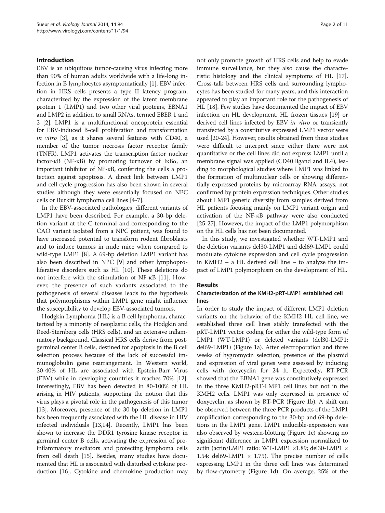#### Introduction

EBV is an ubiquitous tumor-causing virus infecting more than 90% of human adults worldwide with a life-long infection in B lymphocytes asymptomatically [\[1](#page-9-0)]. EBV infection in HRS cells presents a type II latency program, characterized by the expression of the latent membrane protein 1 (LMP1) and two other viral proteins, EBNA1 and LMP2 in addition to small RNAs, termed EBER 1 and 2 [[2\]](#page-9-0). LMP1 is a multifunctional oncoprotein essential for EBV-induced B-cell proliferation and transformation in vitro [\[3\]](#page-9-0), as it shares several features with CD40, a member of the tumor necrosis factor receptor family (TNFR). LMP1 activates the transcription factor nuclear factor-κB (NF-κB) by promoting turnover of IκBα, an important inhibitor of NF-κB, conferring the cells a protection against apoptosis. A direct link between LMP1 and cell cycle progression has also been shown in several studies although they were essentially focused on NPC cells or Burkitt lymphoma cell lines [\[4-7](#page-9-0)].

In the EBV-associated pathologies, different variants of LMP1 have been described. For example, a 30-bp deletion variant at the C terminal and corresponding to the CAO variant isolated from a NPC patient, was found to have increased potential to transform rodent fibroblasts and to induce tumors in nude mice when compared to wild-type LMP1 [[8\]](#page-9-0). A 69-bp deletion LMP1 variant has also been described in NPC [[9\]](#page-9-0) and other lymphoproliferative disorders such as HL [\[10](#page-9-0)]. These deletions do not interfere with the stimulation of NF-κB [\[11](#page-9-0)]. However, the presence of such variants associated to the pathogenesis of several diseases leads to the hypothesis that polymorphisms within LMP1 gene might influence the susceptibility to develop EBV-associated tumors.

Hodgkin Lymphoma (HL) is a B cell lymphoma, characterized by a minority of neoplastic cells, the Hodgkin and Reed-Sternberg cells (HRS cells), and an extensive inflammatory background. Classical HRS cells derive from postgerminal center B cells, destined for apoptosis in the B cell selection process because of the lack of successful immunoglobulin gene rearrangement. In Western world, 20-40% of HL are associated with Epstein-Barr Virus (EBV) while in developing countries it reaches 70% [[12](#page-9-0)]. Interestingly, EBV has been detected in 80-100% of HL arising in HIV patients, supporting the notion that this virus plays a pivotal role in the pathogenesis of this tumor [[13](#page-9-0)]. Moreover, presence of the 30-bp deletion in LMP1 has been frequently associated with the HL disease in HIV infected individuals [[13](#page-9-0)[,14\]](#page-10-0). Recently, LMP1 has been shown to increase the DDR1 tyrosine kinase receptor in germinal center B cells, activating the expression of proinflammatory mediators and protecting lymphoma cells from cell death [\[15\]](#page-10-0). Besides, many studies have documented that HL is associated with disturbed cytokine production [\[16\]](#page-10-0). Cytokine and chemokine production may

not only promote growth of HRS cells and help to evade immune surveillance, but they also cause the characteristic histology and the clinical symptoms of HL [[17](#page-10-0)]. Cross-talk between HRS cells and surrounding lymphocytes has been studied for many years, and this interaction appeared to play an important role for the pathogenesis of HL [[18](#page-10-0)]. Few studies have documented the impact of EBV infection on HL development. HL frozen tissues [\[19\]](#page-10-0) or derived cell lines infected by EBV in vitro or transiently transfected by a constitutive expressed LMP1 vector were used [[20-24\]](#page-10-0). However, results obtained from these studies were difficult to interpret since either there were not quantitative or the cell lines did not express LMP1 until a membrane signal was applied (CD40 ligand and IL4), leading to morphological studies where LMP1 was linked to the formation of multinuclear cells or showing differentially expressed proteins by microarray RNA assays, not confirmed by protein expression techniques. Other studies about LMP1 genetic diversity from samples derived from HL patients focusing mainly on LMP1 variant origin and activation of the NF-κB pathway were also conducted [[25](#page-10-0)-[27\]](#page-10-0). However, the impact of the LMP1 polymorphism on the HL cells has not been documented.

In this study, we investigated whether WT-LMP1 and the deletion variants del30-LMP1 and del69-LMP1 could modulate cytokine expression and cell cycle progression in KMH2 – a HL derived cell line – to analyze the impact of LMP1 polymorphism on the development of HL.

#### Results

# Characterization of the KMH2-pRT-LMP1 established cell lines

In order to study the impact of different LMP1 deletion variants on the behavior of the KMH2 HL cell line, we established three cell lines stably transfected with the pRT-LMP1 vector coding for either the wild-type form of LMP1 (WT-LMP1) or deleted variants (del30-LMP1; del69-LMP1) (Figure [1a](#page-2-0)). After electroporation and three weeks of hygromycin selection, presence of the plasmid and expression of viral genes were assessed by inducing cells with doxycyclin for 24 h. Expectedly, RT-PCR showed that the EBNA1 gene was constitutively expressed in the three KMH2-pRT-LMP1 cell lines but not in the KMH2 cells. LMP1 was only expressed in presence of doxycyclin, as shown by RT-PCR (Figure [1b](#page-2-0)). A shift can be observed between the three PCR products of the LMP1 amplification corresponding to the 30-bp and 69-bp deletions in the LMP1 gene. LMP1 inducible-expression was also observed by western-blotting (Figure [1](#page-2-0)c) showing no significant difference in LMP1 expression normalized to actin (actin/LMP1 ratio: WT-LMP1 ×1.89; del30-LMP1 × 1.54; del69-LMP1  $\times$  1.75). The precise number of cells expressing LMP1 in the three cell lines was determined by flow-cytometry (Figure [1](#page-2-0)d). On average, 25% of the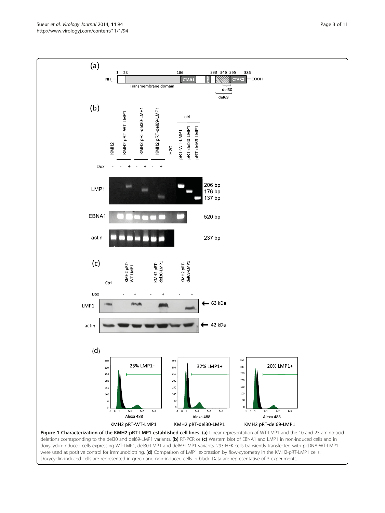<span id="page-2-0"></span>Sueur et al. Virology Journal 2014, 11:94 Page 3 of 11 http://www.virologyj.com/content/11/1/94



Doxycyclin-induced cells are represented in green and non-induced cells in black. Data are representative of 3 experiments.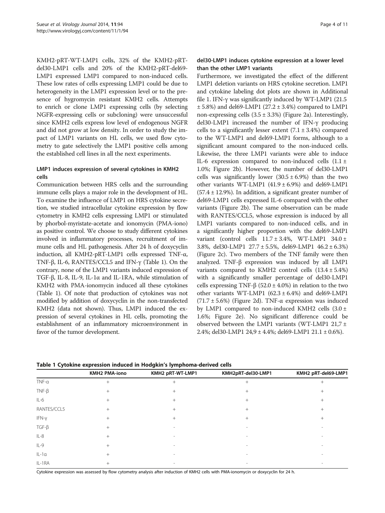KMH2-pRT-WT-LMP1 cells, 32% of the KMH2-pRTdel30-LMP1 cells and 20% of the KMH2-pRT-del69- LMP1 expressed LMP1 compared to non-induced cells. These low rates of cells expressing LMP1 could be due to heterogeneity in the LMP1 expression level or to the presence of hygromycin resistant KMH2 cells. Attempts to enrich or clone LMP1 expressing cells (by selecting NGFR-expressing cells or subcloning) were unsuccessful since KMH2 cells express low level of endogenous NGFR and did not grow at low density. In order to study the impact of LMP1 variants on HL cells, we used flow cytometry to gate selectively the LMP1 positive cells among the established cell lines in all the next experiments.

# LMP1 induces expression of several cytokines in KMH2 cells

Communication between HRS cells and the surrounding immune cells plays a major role in the development of HL. To examine the influence of LMP1 on HRS cytokine secretion, we studied intracellular cytokine expression by flow cytometry in KMH2 cells expressing LMP1 or stimulated by phorbol-myristate-acetate and ionomycin (PMA-iono) as positive control. We choose to study different cytokines involved in inflammatory processes, recruitment of immune cells and HL pathogenesis. After 24 h of doxycyclin induction, all KMH2-pRT-LMP1 cells expressed TNF-α, TNF-β, IL-6, RANTES/CCL5 and IFN-γ (Table 1). On the contrary, none of the LMP1 variants induced expression of TGF-β, IL-8, IL-9, IL-1α and IL-1RA, while stimulation of KMH2 with PMA-ionomycin induced all these cytokines (Table 1). Of note that production of cytokines was not modified by addition of doxycyclin in the non-transfected KMH2 (data not shown). Thus, LMP1 induced the expression of several cytokines in HL cells, promoting the establishment of an inflammatory microenvironment in favor of the tumor development.

# del30-LMP1 induces cytokine expression at a lower level than the other LMP1 variants

Furthermore, we investigated the effect of the different LMP1 deletion variants on HRS cytokine secretion. LMP1 and cytokine labeling dot plots are shown in Additional file [1](#page-9-0). IFN-γ was significantly induced by WT-LMP1 (21.5  $\pm$  5.8%) and del69-LMP1 (27.2  $\pm$  3.4%) compared to LMP1 non-expressing cells  $(3.5 \pm 3.3%)$  (Figure [2](#page-4-0)a). Interestingly, del30-LMP1 increased the number of IFN-γ producing cells to a significantly lesser extent  $(7.1 \pm 3.4\%)$  compared to the WT-LMP1 and del69-LMP1 forms, although to a significant amount compared to the non-induced cells. Likewise, the three LMP1 variants were able to induce IL-6 expression compared to non-induced cells  $(1.1 \pm$ 1.0%; Figure [2](#page-4-0)b). However, the number of del30-LMP1 cells was significantly lower  $(30.5 \pm 6.9%)$  than the two other variants WT-LMP1  $(41.9 \pm 6.9%)$  and del69-LMP1  $(57.4 \pm 12.9%)$ . In addition, a significant greater number of del69-LMP1 cells expressed IL-6 compared with the other variants (Figure [2](#page-4-0)b). The same observation can be made with RANTES/CCL5, whose expression is induced by all LMP1 variants compared to non-induced cells, and in a significantly higher proportion with the del69-LMP1 variant (control cells  $11.7 \pm 3.4\%$ , WT-LMP1  $34.0 \pm$ 3.8%, del30-LMP1 27.7 ± 5.5%, del69-LMP1 46.2 ± 6.3%) (Figure [2c](#page-4-0)). Two members of the TNF family were then analyzed. TNF-β expression was induced by all LMP1 variants compared to KMH2 control cells  $(13.4 \pm 5.4\%)$ with a significantly smaller percentage of del30-LMP1 cells expressing TNF-β (52.0  $\pm$  4.0%) in relation to the two other variants WT-LMP1 ( $62.3 \pm 6.4$ %) and del69-LMP1 (71.7  $\pm$  5.6%) (Figure [2](#page-4-0)d). TNF- $\alpha$  expression was induced by LMP1 compared to non-induced KMH2 cells  $(3.0 \pm$ 1.6%; Figure [2](#page-4-0)e). No significant difference could be observed between the LMP1 variants (WT-LMP1 21,7  $\pm$ 2.4%; del30-LMP1 24,9 ± 4.4%; del69-LMP1 21.1 ± 0.6%).

|             | <b>KMH2 PMA-iono</b> | KMH2 pRT-WT-LMP1 | KMH2pRT-del30-LMP1       | KMH2 pRT-del69-LMP1      |
|-------------|----------------------|------------------|--------------------------|--------------------------|
| $TNF-a$     | $^{+}$               | $^{+}$           | $^{+}$                   | $^{+}$                   |
| $TNF-\beta$ | $^{+}$               | $^{+}$           | $^{+}$                   | $^{+}$                   |
| $IL-6$      | $+$                  | $^{+}$           | $^{+}$                   | $^{+}$                   |
| RANTES/CCL5 | $^{+}$               | $^{+}$           | $^{+}$                   | $^{+}$                   |
| IFN-y       | $^{+}$               | $^{+}$           | $^{+}$                   | $^{+}$                   |
| $TGF-\beta$ | $^{+}$               |                  |                          |                          |
| $IL-8$      | $^{+}$               | ۰                | $\sim$                   |                          |
| $IL-9$      | $^{+}$               |                  |                          |                          |
| $IL-1a$     | $^{+}$               | ۰                | $\overline{\phantom{a}}$ | $\overline{\phantom{a}}$ |
| IL-1RA      |                      | ۰                |                          |                          |

Table 1 Cytokine expression induced in Hodgkin's lymphoma-derived cells

Cytokine expression was assessed by flow cytometry analysis after induction of KMH2 cells with PMA-ionomycin or doxycyclin for 24 h.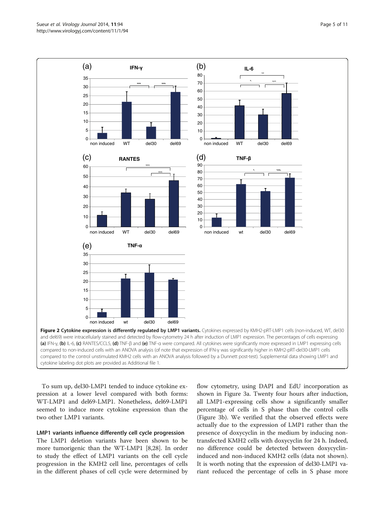<span id="page-4-0"></span>

To sum up, del30-LMP1 tended to induce cytokine expression at a lower level compared with both forms: WT-LMP1 and del69-LMP1. Nonetheless, del69-LMP1 seemed to induce more cytokine expression than the two other LMP1 variants.

#### LMP1 variants influence differently cell cycle progression

The LMP1 deletion variants have been shown to be more tumorigenic than the WT-LMP1 [[8,](#page-9-0)[28\]](#page-10-0). In order to study the effect of LMP1 variants on the cell cycle progression in the KMH2 cell line, percentages of cells in the different phases of cell cycle were determined by flow cytometry, using DAPI and EdU incorporation as shown in Figure [3a](#page-6-0). Twenty four hours after induction, all LMP1-expressing cells show a significantly smaller percentage of cells in S phase than the control cells (Figure [3b](#page-6-0)). We verified that the observed effects were actually due to the expression of LMP1 rather than the presence of doxycyclin in the medium by inducing nontransfected KMH2 cells with doxycyclin for 24 h. Indeed, no difference could be detected between doxycyclininduced and non-induced KMH2 cells (data not shown). It is worth noting that the expression of del30-LMP1 variant reduced the percentage of cells in S phase more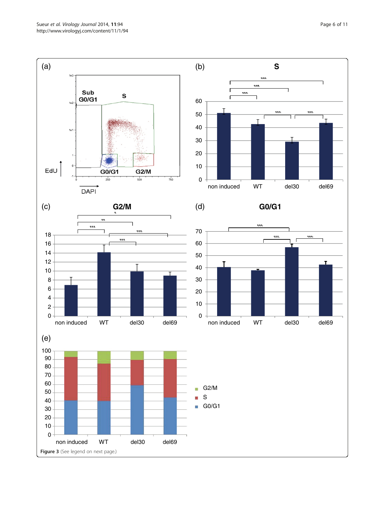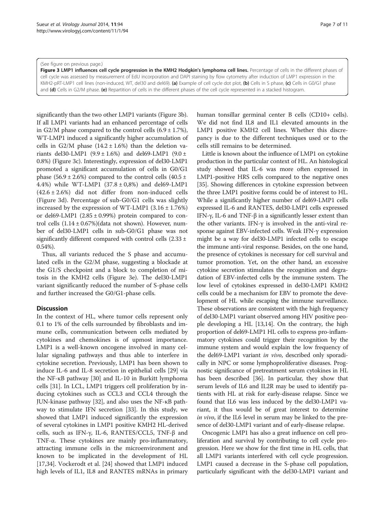#### <span id="page-6-0"></span>(See figure on previous page.)

Figure 3 LMP1 influences cell cycle progression in the KMH2 Hodgkin's lymphoma cell lines. Percentage of cells in the different phases of cell cycle was assessed by measurement of EdU incorporation and DAPI staining by flow cytometry after induction of LMP1 expression in the KMH2-pRT-LMP1 cell lines (non-induced, WT, del30 and del69). (a) Example of cell cycle dot plot, (b) Cells in S phase, (c) Cells in G0/G1 phase and (d) Cells in G2/M phase. (e) Repartition of cells in the different phases of the cell cycle represented in a stacked histogram.

significantly than the two other LMP1 variants (Figure 3b). If all LMP1 variants had an enhanced percentage of cells in G2/M phase compared to the control cells  $(6.9 \pm 1.7\%)$ , WT-LMP1 induced a significantly higher accumulation of cells in G2/M phase  $(14.2 \pm 1.6%)$  than the deletion variants del30-LMP1 (9.9 ± 1.6%) and del69-LMP1 (9.0 ± 0.8%) (Figure 3c). Interestingly, expression of del30-LMP1 promoted a significant accumulation of cells in G0/G1 phase (56.9  $\pm$  2.6%) compared to the control cells (40.5  $\pm$ 4.4%) while WT-LMP1 (37.8 ± 0,8%) and del69-LMP1  $(42.6 \pm 2.6%)$  did not differ from non-induced cells (Figure 3d). Percentage of sub-G0/G1 cells was slightly increased by the expression of WT-LMP1  $(3.16 \pm 1.76%)$ or del69-LMP1  $(2.85 \pm 0.99%)$  protein compared to control cells  $(1.14 \pm 0.67\%)$ (data not shown). However, number of del30-LMP1 cells in sub-G0/G1 phase was not significantly different compared with control cells  $(2.33 \pm$ 0.54%).

Thus, all variants reduced the S phase and accumulated cells in the G2/M phase, suggesting a blockade at the G1/S checkpoint and a block to completion of mitosis in the KMH2 cells (Figure 3e). The del30-LMP1 variant significantly reduced the number of S-phase cells and further increased the G0/G1-phase cells.

#### **Discussion**

In the context of HL, where tumor cells represent only 0.1 to 1% of the cells surrounded by fibroblasts and immune cells, communication between cells mediated by cytokines and chemokines is of upmost importance. LMP1 is a well-known oncogene involved in many cellular signaling pathways and thus able to interfere in cytokine secretion. Previously, LMP1 has been shown to induce IL-6 and IL-8 secretion in epithelial cells [[29\]](#page-10-0) via the NF-κB pathway [\[30](#page-10-0)] and IL-10 in Burkitt lymphoma cells [[31](#page-10-0)]. In LCL, LMP1 triggers cell proliferation by inducing cytokines such as CCL3 and CCL4 through the JUN-kinase pathway [[32\]](#page-10-0), and also uses the NF-κB pathway to stimulate IFN secretion [[33\]](#page-10-0). In this study, we showed that LMP1 induced significantly the expression of several cytokines in LMP1 positive KMH2 HL-derived cells, such as IFN-γ, IL-6, RANTES/CCL5, TNF-β and TNF-α. These cytokines are mainly pro-inflammatory, attracting immune cells in the microenvironment and known to be implicated in the development of HL [[17,34\]](#page-10-0). Vockerodt et al. [\[24](#page-10-0)] showed that LMP1 induced high levels of IL1, IL8 and RANTES mRNAs in primary human tonsillar germinal center B cells (CD10+ cells). We did not find IL8 and IL1 elevated amounts in the LMP1 positive KMH2 cell lines. Whether this discrepancy is due to the different techniques used or to the cells still remains to be determined.

Little is known about the influence of LMP1 on cytokine production in the particular context of HL. An histological study showed that IL-6 was more often expressed in LMP1-positive HRS cells compared to the negative ones [[35](#page-10-0)]. Showing differences in cytokine expression between the three LMP1 positive forms could be of interest to HL. While a significantly higher number of del69-LMP1 cells expressed IL-6 and RANTES, del30-LMP1 cells expressed IFN-γ, IL-6 and TNF-β in a significantly lesser extent than the other variants. IFN-γ is involved in the anti-viral response against EBV-infected cells. Weak IFN-γ expression might be a way for del30-LMP1 infected cells to escape the immune anti-viral response. Besides, on the one hand, the presence of cytokines is necessary for cell survival and tumor promotion. Yet, on the other hand, an excessive cytokine secretion stimulates the recognition and degradation of EBV-infected cells by the immune system. The low level of cytokines expressed in del30-LMP1 KMH2 cells could be a mechanism for EBV to promote the development of HL while escaping the immune surveillance. These observations are consistent with the high frequency of del30-LMP1 variant observed among HIV positive people developing a HL [\[13,](#page-9-0)[14\]](#page-10-0). On the contrary, the high proportion of del69-LMP1 HL cells to express pro-inflammatory cytokines could trigger their recognition by the immune system and would explain the low frequency of the del69-LMP1 variant in vivo, described only sporadically in NPC or some lymphoproliferative diseases. Prognostic significance of pretreatment serum cytokines in HL has been described [[36](#page-10-0)]. In particular, they show that serum levels of IL6 and IL2R may be used to identify patients with HL at risk for early-disease relapse. Since we found that IL6 was less induced by the del30-LMP1 variant, it thus would be of great interest to determine in vivo, if the IL6 level in serum may be linked to the presence of del30-LMP1 variant and of early-disease relapse.

Oncogenic LMP1 has also a great influence on cell proliferation and survival by contributing to cell cycle progression. Here we show for the first time in HL cells, that all LMP1 variants interfered with cell cycle progression. LMP1 caused a decrease in the S-phase cell population, particularly significant with the del30-LMP1 variant and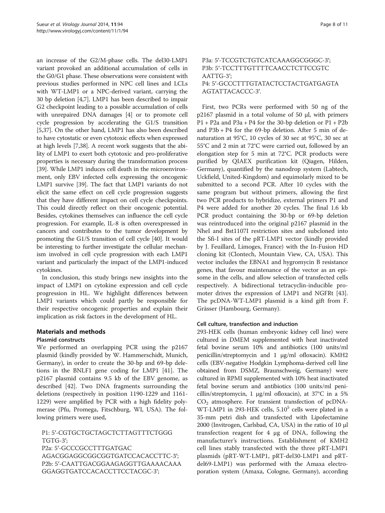an increase of the G2/M-phase cells. The del30-LMP1 variant provoked an additional accumulation of cells in the G0/G1 phase. These observations were consistent with previous studies performed in NPC cell lines and LCLs with WT-LMP1 or a NPC-derived variant, carrying the 30 bp deletion [[4,7](#page-9-0)]. LMP1 has been described to impair G2 checkpoint leading to a possible accumulation of cells with unrepaired DNA damages [\[4](#page-9-0)] or to promote cell cycle progression by accelerating the G1/S transition [[5,](#page-9-0)[37](#page-10-0)]. On the other hand, LMP1 has also been described to have cytostatic or even cytotoxic effects when expressed at high levels [[7](#page-9-0)[,38](#page-10-0)]. A recent work suggests that the ability of LMP1 to exert both cytotoxic and pro-proliferative properties is necessary during the transformation process [[39](#page-10-0)]. While LMP1 induces cell death in the microenvironment, only EBV infected cells expressing the oncogenic LMP1 survive [\[39\]](#page-10-0). The fact that LMP1 variants do not elicit the same effect on cell cycle progression suggests that they have different impact on cell cycle checkpoints. This could directly reflect on their oncogenic potential. Besides, cytokines themselves can influence the cell cycle progression. For example, IL-8 is often overexpressed in cancers and contributes to the tumor development by promoting the G1/S transition of cell cycle [\[40\]](#page-10-0). It would be interesting to further investigate the cellular mechanism involved in cell cycle progression with each LMP1 variant and particularly the impact of the LMP1-induced cytokines.

In conclusion, this study brings new insights into the impact of LMP1 on cytokine expression and cell cycle progression in HL. We highlight differences between LMP1 variants which could partly be responsible for their respective oncogenic properties and explain their implication as risk factors in the development of HL.

# Materials and methods

# Plasmid constructs

We performed an overlapping PCR using the p2167 plasmid (kindly provided by W. Hammerschidt, Munich, Germany), in order to create the 30-bp and 69-bp deletions in the BNLF1 gene coding for LMP1 [\[41\]](#page-10-0). The p2167 plasmid contains 9.5 kb of the EBV genome, as described [\[42\]](#page-10-0). Two DNA fragments surrounding the deletions (respectively in position 1190-1229 and 1161- 1229) were amplified by PCR with a high fidelity polymerase (Pfu, Promega, Fitschburg, WI, USA). The following primers were used,

P1: 5′-CGTGCTGCTAGCTCTTAGTTTCTGGG TGTG-3′; P2a: 5′-GCCCGCCTTTGATGAC AGACGGAGGCGGCGGTGATCCACACCTTC-3′; P2b: 5′-CAATTGACGGAAGAGGTTGAAAACAAA GGAGGTGATCCACACCTTCCTACGC-3′;

# P3a: 5′-TCCGTCTGTCATCAAAGGCGGGC-3′; P3b: 5'-TCCTTTGTTTTCAACCTCTTCCGTC AATTG-3′; P4: 5′-GCCCTTTGTATACTCCTACTGATGAGTA AGTATTACACCC-3′.

First, two PCRs were performed with 50 ng of the p2167 plasmid in a total volume of 50 μl, with primers P1 + P2a and P3a + P4 for the 30-bp deletion or P1 + P2b and P3b + P4 for the 69-bp deletion. After 5 min of denaturation at 95°C, 10 cycles of 30 sec at 95°C, 30 sec at 55°C and 2 min at 72°C were carried out, followed by an elongation step for 5 min at 72°C. PCR products were purified by QIAEX purification kit (Qiagen, Hilden, Germany), quantified by the nanodrop system (Labtech, Uckfield, United-Kingdom) and equimolarly mixed to be submitted to a second PCR. After 10 cycles with the same program but without primers, allowing the first two PCR products to hybridize, external primers P1 and P4 were added for another 20 cycles. The final 1.6 kb PCR product containing the 30-bp or 69-bp deletion was reintroduced into the original p2167 plasmid in the NheI and Bst1107I restriction sites and subcloned into the Sfi-I sites of the pRT-LMP1 vector (kindly provided by J. Feuillard, Limoges, France) with the In-Fusion HD cloning kit (Clontech, Mountain View, CA, USA). This vector includes the EBNA1 and hygromycin B resistance genes, that favour maintenance of the vector as an episome in the cells, and allow selection of transfected cells respectively. A bidirectional tetracyclin-inducible promoter drives the expression of LMP1 and NGFRt [\[43](#page-10-0)]. The pcDNA-WT-LMP1 plasmid is a kind gift from F. Grässer (Hambourg, Germany).

# Cell culture, transfection and induction

293-HEK cells (human embryonic kidney cell line) were cultured in DMEM supplemented with heat inactivated fetal bovine serum 10% and antibiotics (100 units/ml penicillin/streptomycin and 1 μg/ml ofloxacin). KMH2 cells (EBV-negative Hodgkin Lymphoma-derived cell line obtained from DSMZ, Braunschweig, Germany) were cultured in RPMI supplemented with 10% heat inactivated fetal bovine serum and antibiotics (100 units/ml penicillin/streptomycin, 1 μg/ml ofloxacin), at 37°C in a 5%  $CO<sub>2</sub>$  atmosphere. For transient transfection of pcDNA-WT-LMP1 in 293-HEK cells,  $5.10<sup>5</sup>$  cells were plated in a 35-mm petri dish and transfected with Lipofectamine 2000 (Invitrogen, Carlsbad, CA, USA) in the ratio of 10 μl transfection reagent for 4 μg of DNA, following the manufacturer's instructions. Establishment of KMH2 cell lines stably transfected with the three pRT-LMP1 plasmids (pRT-WT-LMP1, pRT-del30-LMP1 and pRTdel69-LMP1) was performed with the Amaxa electroporation system (Amaxa, Cologne, Germany), according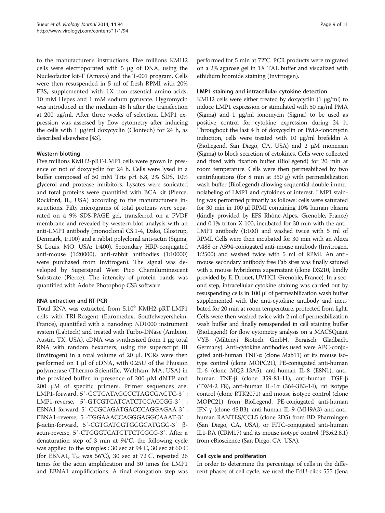to the manufacturer's instructions. Five millions KMH2 cells were electroporated with 5 μg of DNA, using the Nucleofactor kit-T (Amaxa) and the T-001 program. Cells were then resuspended in 5 ml of fresh RPMI with 20% FBS, supplemented with 1X non-essential amino-acids, 10 mM Hepes and 1 mM sodium pyruvate. Hygromycin was introduced in the medium 48 h after the transfection at 200 μg/ml. After three weeks of selection, LMP1 expression was assessed by flow cytometry after inducing the cells with 1 μg/ml doxycyclin (Clontech) for 24 h, as described elsewhere [\[43\]](#page-10-0).

# Western-blotting

Five millions KMH2-pRT-LMP1 cells were grown in presence or not of doxycyclin for 24 h. Cells were lysed in a buffer composed of 50 mM Tris pH 6.8, 2% SDS, 10% glycerol and protease inhibitors. Lysates were sonicated and total proteins were quantified with BCA kit (Pierce, Rockford, IL, USA) according to the manufacturer's instructions. Fifty micrograms of total proteins were separated on a 9% SDS-PAGE gel, transferred on a PVDF membrane and revealed by western-blot analysis with an anti-LMP1 antibody (monoclonal CS.1-4, Dako, Glostrup, Denmark, 1:100) and a rabbit polyclonal anti-actin (Sigma, St Louis, MO, USA; 1:400). Secondary HRP-conjugated anti-mouse (1:20000), anti-rabbit antibodies (1:10000) were purchased from Invitrogen). The signal was developed by Supersignal West Pico Chemiluminescent Substrate (Pierce). The intensity of protein bands was quantified with Adobe Photophop CS3 software.

# RNA extraction and RT-PCR

Total RNA was extracted from 5.10<sup>6</sup> KMH2-pRT-LMP1 cells with TRI-Reagent (Euromedex, Souffelweyersheim, France), quantified with a nanodrop ND1000 instrument system (Labtech) and treated with Turbo-DNase (Ambion, Austin, TX, USA). cDNA was synthesized from 1 μg total RNA with random hexamers, using the superscript III (Invitrogen) in a total volume of 20 μl. PCRs were then performed on 1 μl of cDNA, with 0.25U of the Phusion polymerase (Thermo-Scientific, Waltham, MA, USA) in the provided buffer, in presence of 200 μM dNTP and 200 μM of specific primers. Primer sequences are: LMP1-forward, 5′-CCTCATAGCCCTAGCGACTC-3′ ; LMP1-reverse, 5'-GTCGTCATCATCTCCACCGG-3' EBNA1-forward, 5′-CCGCAGATGACCCAGGAGAA-3′ ; EBNA1-reverse, 5′-TGGAAACCAGGGAGGCAAAT-3′ ; β-actin-forward, 5′-CGTGATGGTGGGCATGGG-3′ βactin-reverse, 5′-CTGGGTCATCTTCTCGCG-3′. After a denaturation step of 3 min at 94°C, the following cycle was applied to the samples : 30 sec at 94°C, 30 sec at 60°C (for EBNA1,  $T_H$  was 56°C), 30 sec at 72°C, repeated 26 times for the actin amplification and 30 times for LMP1 and EBNA1 amplifications. A final elongation step was performed for 5 min at 72°C. PCR products were migrated on a 2% agarose gel in 1X TAE buffer and visualized with ethidium bromide staining (Invitrogen).

# LMP1 staining and intracellular cytokine detection

KMH2 cells were either treated by doxycyclin (1 μg/ml) to induce LMP1 expression or stimulated with 50 ng/ml PMA (Sigma) and 1 μg/ml ionomycin (Sigma) to be used as positive control for cytokine expression during 24 h. Throughout the last 4 h of doxycyclin or PMA-ionomycin induction, cells were treated with 10 μg/ml brefeldin A (BioLegend, San Diego, CA, USA) and 2 μM monensin (Sigma) to block secretion of cytokines. Cells were collected and fixed with fixation buffer (BioLegend) for 20 min at room temperature. Cells were then permeabilized by two centrifugations (for 8 min at 350 g) with permeabilization wash buffer (BioLegend) allowing sequential double immunolabeling of LMP1 and cytokines of interest. LMP1 staining was performed primarily as follows: cells were saturated for 30 min in 100 μl RPMI containing 10% human plasma (kindly provided by EFS Rhône-Alpes, Grenoble, France) and 0.1% triton X-100, incubated for 30 min with the anti-LMP1 antibody (1:100) and washed twice with 5 ml of RPMI. Cells were then incubated for 30 min with an Alexa A488 or A594-conjugated anti-mouse antibody (Invitrogen, 1:2500) and washed twice with 5 ml of RPMI. An antimouse secondary antibody free Fab sites was finally satured with a mouse hybridoma supernatant (clone D3210, kindly provided by E. Drouet, UVHCI, Grenoble, France). In a second step, intracellular cytokine staining was carried out by resuspending cells in 100 μl of permeabilization wash buffer supplemented with the anti-cytokine antibody and incubated for 20 min at room temperature, protected from light. Cells were then washed twice with 2 ml of permeabilization wash buffer and finally resuspended in cell staining buffer (BioLegend) for flow cytometry analysis on a MACSQuant VYB (Miltenyi Biotech GmbH, Bergisch Gladbach, Germany). Anti-cytokine antibodies used were APC-conjugated anti-human TNF-α (clone Mab11) or its mouse isotype control (clone MOPC21), PE-conjugated anti-human IL-6 (clone MQ2-13A5), anti-human IL-8 (E8N1), antihuman TNF-β (clone 359-81-11), anti-human TGF-β (TW4-2 F8), anti-human IL-1α (364-3B3-14), rat isotype control (clone RTK2071) and mouse isotype control (clone MOPC21) from BioLegend, PE-conjugated anti-human IFN-γ (clone 4S.B3), anti-human IL-9 (MH9A3) and antihuman RANTES/CCL5 (clone 2D5) from BD Pharmingen (San Diego, CA, USA), or FITC-conjugated anti-human IL1-RA (CRM17) and its mouse isotype control (P3.6.2.8.1) from eBioscience (San Diego, CA, USA).

# Cell cycle and proliferation

In order to determine the percentage of cells in the different phases of cell cycle, we used the EdU-click 555 (Jena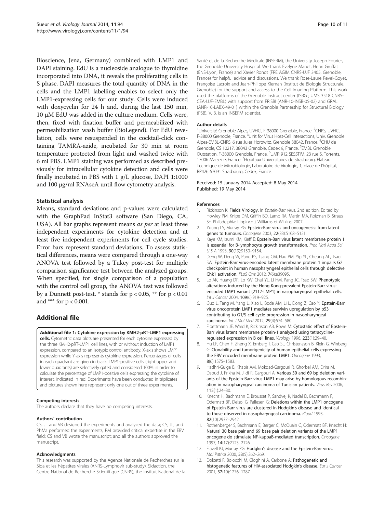<span id="page-9-0"></span>Bioscience, Jena, Germany) combined with LMP1 and DAPI staining. EdU is a nucleoside analogue to thymidine incorporated into DNA, it reveals the proliferating cells in S phase. DAPI measures the total quantity of DNA in the cells and the LMP1 labelling enables to select only the LMP1-expressing cells for our study. Cells were induced with doxycyclin for 24 h and, during the last 150 min, 10 μM EdU was added in the culture medium. Cells were, then, fixed with fixation buffer and permeabilized with permeabilization wash buffer (BioLegend). For EdU revelation, cells were resuspended in the cocktail-click containing TAMRA-azide, incubated for 30 min at room temperature protected from light and washed twice with 6 ml PBS. LMP1 staining was performed as described previously for intracellular cytokine detection and cells were finally incubated in PBS with 1 g/L glucose, DAPI 1:1000 and 100 μg/ml RNAseA until flow cytometry analysis.

#### Statistical analysis

Means, standard deviations and p-values were calculated with the GraphPad InStat3 software (San Diego, CA, USA). All bar graphs represent means *as per* at least three independent experiments for cytokine detection and at least five independent experiments for cell cycle studies. Error bars represent standard deviations. To assess statistical differences, means were compared through a one-way ANOVA test followed by a Tukey post-test for multiple comparison significance test between the analyzed groups. When specified, for single comparison of a population with the control cell group, the ANOVA test was followed by a Dunnett post-test.  $*$  stands for  $p < 0.05$ ,  $**$  for  $p < 0.01$ and \*\*\* for p < 0.001.

# Additional file

[Additional file 1:](http://www.biomedcentral.com/content/supplementary/1743-422X-11-94-S1.pdf) Cytokine expression by KMH2-pRT-LMP1 expressing cells. Cytometric data plots are presented for each cytokine expressed by the three KMH2-pRT-LMP1 cell lines, with or without induction of LMP1 expression, compared to an isotypic control antibody. X-axis shows LMP1 expression while Y-axis represents cytokine expression. Percentages of cells in each quadrant are given in black. LMP1-positive cells (right upper and lower quadrants) are selectively gated and considered 100% in order to calculate the percentage of LMP1-positive cells expressing the cytokine of interest, indicated in red. Experiments have been conducted in triplicates and pictures shown here represent only one out of three experiments.

#### Competing interests

The authors declare that they have no competing interests.

#### Authors' contribution

CS, JL and VB designed the experiments and analyzed the data; CS, JL, and PhMa performed the experiments; PM provided critical expertise in the EBV field; CS and VB wrote the manuscript; and all the authors approved the manuscript.

#### Acknowledgments

This research was supported by the Agence Nationale de Recherches sur le Sida et les hépatites virales (ANRS-Lymphovir sub-study), Sidaction, the Centre National de Recherche Scientifique (CNRS), the Institut National de la

Santé et de la Recherche Médicale (INSERM), the University Joseph Fourier, the Grenoble University Hospital. We thank Evelyne Manet, Henri Gruffat (ENS-Lyon, France) and Xavier Ronot (FRE AGIM CNRS-UJF 3405, Grenoble, France) for helpful advice and discussions. We thank Rose-Laure Revel-Goyet, Françoise Lacroix and Jean-Philippe Kleman (Institut de Biologie Structurale, Grenoble) for the support and access to the Cell imaging Platform. This work used the platforms of the Grenoble Instruct center (ISBG ; UMS 3518 CNRS-CEA-UJF-EMBL) with support from FRISBI (ANR-10-INSB-05-02) and GRAL (ANR-10-LABX-49-01) within the Grenoble Partnership for Structural Biology (PSB). V. B. is an INSERM scientist.

#### Author details

<sup>1</sup>Université Grenoble Alpes, UVHCI, F-38000 Grenoble, France. <sup>2</sup>CNRS, UVHCI, F-38000 Grenoble, France. <sup>3</sup>Unit for Virus Host-Cell Interactions, Univ. Grenoble Alpes-EMBL-CNRS, 6 rue Jules Horowitz, Grenoble 38042, France. <sup>4</sup>CHU de Grenoble, CS 10217, 38043 Grenoble, Cedex 9, France. <sup>5</sup>EMBL Grenoble Outstation, F-38000 Grenoble, France. <sup>6</sup>UMR 912 SESSTIM, 23 rue S. Torrents 13006 Marseille, France. <sup>7</sup> Hopitaux Universitaires de Strasbourg, Plateau Technique de Microbiologie, Laboratoire de Virologie, 1, place de l'hôpital, BP426 67091 Strasbourg, Cedex, France.

#### Received: 15 January 2014 Accepted: 8 May 2014 Published: 19 May 2014

#### References

- 1. Rickinson K: Fields Virology. In Epstein-Barr virus. 2nd edition. Edited by Howley PM, Knipe DM, Griffin BD, Lamb RA, Martin MA, Roizman B, Straus SE. Philadelphia: Lippincott Williams et Wilkins; 2007.
- 2. Young LS, Murray PG: Epstein-Barr virus and oncogenesis: from latent genes to tumours. Oncogene 2003, 22(33):5108–5121.
- 3. Kaye KM, Izumi KM, Kieff E: Epstein-Barr virus latent membrane protein 1 is essential for B-lymphocyte growth transformation. Proc Natl Acad Sci U S A 1993, 90(19):9150-9154.
- 4. Deng W, Deng W, Pang PS, Tsang CM, Hau PM, Yip YL, Cheung AL, Tsao SW: Epstein-Barr virus-encoded latent membrane protein 1 impairs G2 checkpoint in human nasopharyngeal epithelial cells through defective Chk1 activation. PLoS One 2012, 7(6):e39095.
- 5. Lo AK, Huang DP, Lo KW, Chui YL, Li HM, Pang JC, Tsao SW: Phenotypic alterations induced by the Hong Kong-prevalent Epstein-Barr virusencoded LMP1 variant (2117-LMP1) in nasopharyngeal epithelial cells. Int J Cancer 2004, 109(6):919–925.
- 6. Guo L, Tang M, Yang L, Xiao L, Bode AM, Li L, Dong Z, Cao Y: Epstein-Barr virus oncoprotein LMP1 mediates survivin upregulation by p53 contributing to G1/S cell cycle progression in nasopharyngeal carcinoma. Int J Mol Med 2012, 29(4):574–580.
- 7. Floettmann JE, Ward K, Rickinson AB, Rowe M: Cytostatic effect of Epstein-Barr virus latent membrane protein-1 analyzed using tetracyclineregulated expression in B cell lines. Virology 1996, 223(1):29–40.
- 8. Hu LF, Chen F, Zheng X, Ernberg I, Cao SL, Christensson B, Klein G, Winberg G: Clonability and tumorigenicity of human epithelial cells expressing the EBV encoded membrane protein LMP1. Oncogene 1993, 8(6):1575–1583.
- 9. Hadhri-Guiga B, Khabir AM, Mokdad-Gargouri R, Ghorbel AM, Drira M, Daoud J, Frikha M, Jlidi R, Gargouri A: Various 30 and 69 bp deletion variants of the Epstein-Barr virus LMP1 may arise by homologous recombination in nasopharyngeal carcinoma of Tunisian patients. Virus Res 2006, 115(1):24–30.
- 10. Knecht H, Bachmann E, Brousset P, Sandvej K, Nadal D, Bachmann F, Odermatt BF, Delsol G, Pallesen G: Deletions within the LMP1 oncogene of Epstein-Barr virus are clustered in Hodgkin's disease and identical to those observed in nasopharyngeal carcinoma. Blood 1993, 82(10):2937–2942.
- 11. Rothenberger S, Bachmann E, Berger C, McQuain C, Odermatt BF, Knecht H: Natural 30 base pair and 69 base pair deletion variants of the LMP1 oncogene do stimulate NF-kappaB-mediated transcription. Oncogene 1997, 14(17):2123–2126.
- 12. Flavell KJ, Murray PG: Hodgkin's disease and the Epstein-Barr virus. Mol Pathol 2000, 53(5):262–269.
- 13. Dolcetti R, Boiocchi M, Gloghini A, Carbone A: Pathogenetic and histogenetic features of HIV-associated Hodgkin's disease. Eur J Cancer 2001, 37(10):1276–1287.